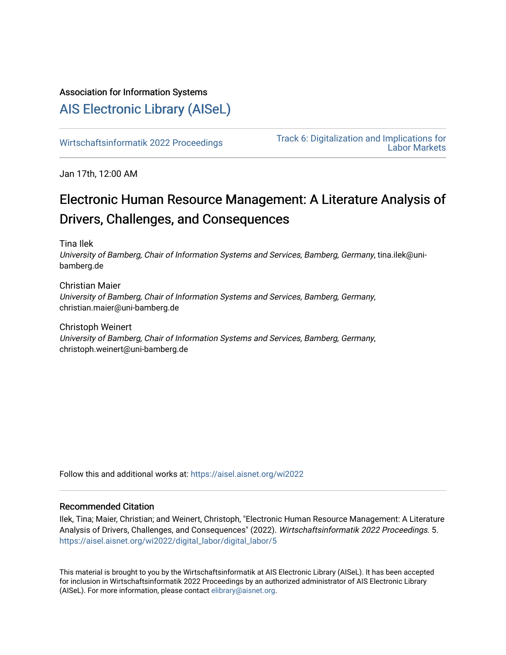# Association for Information Systems

# [AIS Electronic Library \(AISeL\)](https://aisel.aisnet.org/)

[Wirtschaftsinformatik 2022 Proceedings](https://aisel.aisnet.org/wi2022) Track 6: Digitalization and Implications for [Labor Markets](https://aisel.aisnet.org/wi2022/digital_labor) 

Jan 17th, 12:00 AM

# Electronic Human Resource Management: A Literature Analysis of Drivers, Challenges, and Consequences

Tina Ilek

University of Bamberg, Chair of Information Systems and Services, Bamberg, Germany, tina.ilek@unibamberg.de

Christian Maier University of Bamberg, Chair of Information Systems and Services, Bamberg, Germany, christian.maier@uni-bamberg.de

Christoph Weinert University of Bamberg, Chair of Information Systems and Services, Bamberg, Germany, christoph.weinert@uni-bamberg.de

Follow this and additional works at: [https://aisel.aisnet.org/wi2022](https://aisel.aisnet.org/wi2022?utm_source=aisel.aisnet.org%2Fwi2022%2Fdigital_labor%2Fdigital_labor%2F5&utm_medium=PDF&utm_campaign=PDFCoverPages) 

# Recommended Citation

Ilek, Tina; Maier, Christian; and Weinert, Christoph, "Electronic Human Resource Management: A Literature Analysis of Drivers, Challenges, and Consequences" (2022). Wirtschaftsinformatik 2022 Proceedings. 5. [https://aisel.aisnet.org/wi2022/digital\\_labor/digital\\_labor/5](https://aisel.aisnet.org/wi2022/digital_labor/digital_labor/5?utm_source=aisel.aisnet.org%2Fwi2022%2Fdigital_labor%2Fdigital_labor%2F5&utm_medium=PDF&utm_campaign=PDFCoverPages)

This material is brought to you by the Wirtschaftsinformatik at AIS Electronic Library (AISeL). It has been accepted for inclusion in Wirtschaftsinformatik 2022 Proceedings by an authorized administrator of AIS Electronic Library (AISeL). For more information, please contact [elibrary@aisnet.org](mailto:elibrary@aisnet.org%3E).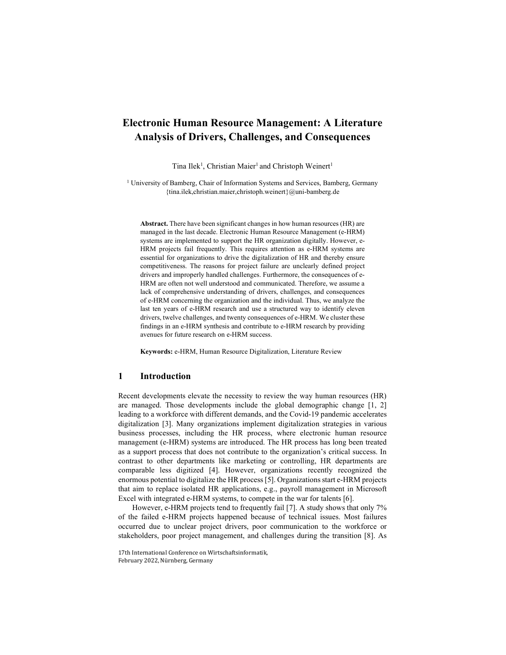# Electronic Human Resource Management: A Literature Analysis of Drivers, Challenges, and Consequences

Tina Ilek<sup>1</sup>, Christian Maier<sup>1</sup> and Christoph Weinert<sup>1</sup>

<sup>1</sup> University of Bamberg, Chair of Information Systems and Services, Bamberg, Germany {tina.ilek,christian.maier,christoph.weinert}@uni-bamberg.de

Abstract. There have been significant changes in how human resources (HR) are managed in the last decade. Electronic Human Resource Management (e-HRM) systems are implemented to support the HR organization digitally. However, e-HRM projects fail frequently. This requires attention as e-HRM systems are essential for organizations to drive the digitalization of HR and thereby ensure competitiveness. The reasons for project failure are unclearly defined project drivers and improperly handled challenges. Furthermore, the consequences of e-HRM are often not well understood and communicated. Therefore, we assume a lack of comprehensive understanding of drivers, challenges, and consequences of e-HRM concerning the organization and the individual. Thus, we analyze the last ten years of e-HRM research and use a structured way to identify eleven drivers, twelve challenges, and twenty consequences of e-HRM. We cluster these findings in an e-HRM synthesis and contribute to e-HRM research by providing avenues for future research on e-HRM success.

Keywords: e-HRM, Human Resource Digitalization, Literature Review

## 1 Introduction

Recent developments elevate the necessity to review the way human resources (HR) are managed. Those developments include the global demographic change [1, 2] leading to a workforce with different demands, and the Covid-19 pandemic accelerates digitalization [3]. Many organizations implement digitalization strategies in various business processes, including the HR process, where electronic human resource management (e-HRM) systems are introduced. The HR process has long been treated as a support process that does not contribute to the organization's critical success. In contrast to other departments like marketing or controlling, HR departments are comparable less digitized [4]. However, organizations recently recognized the enormous potential to digitalize the HR process [5]. Organizations start e-HRM projects that aim to replace isolated HR applications, e.g., payroll management in Microsoft Excel with integrated e-HRM systems, to compete in the war for talents [6].

However, e-HRM projects tend to frequently fail [7]. A study shows that only 7% of the failed e-HRM projects happened because of technical issues. Most failures occurred due to unclear project drivers, poor communication to the workforce or stakeholders, poor project management, and challenges during the transition [8]. As

<sup>17</sup>th International Conference on Wirtschaftsinformatik, February 2022, Nürnberg, Germany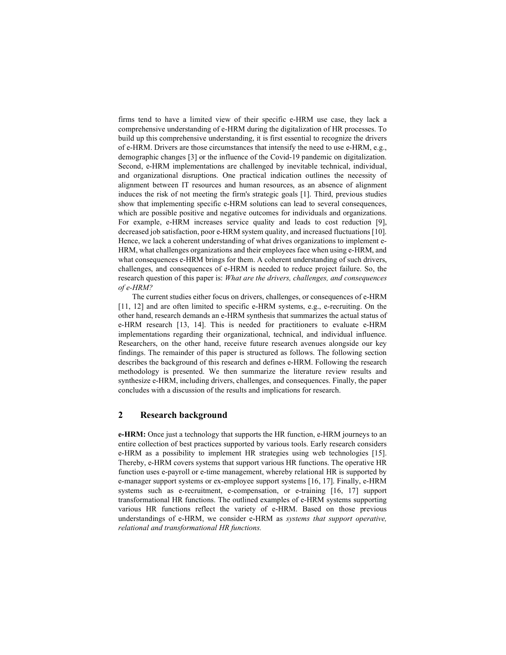firms tend to have a limited view of their specific e-HRM use case, they lack a comprehensive understanding of e-HRM during the digitalization of HR processes. To build up this comprehensive understanding, it is first essential to recognize the drivers of e-HRM. Drivers are those circumstances that intensify the need to use e-HRM, e.g., demographic changes [3] or the influence of the Covid-19 pandemic on digitalization. Second, e-HRM implementations are challenged by inevitable technical, individual, and organizational disruptions. One practical indication outlines the necessity of alignment between IT resources and human resources, as an absence of alignment induces the risk of not meeting the firm's strategic goals [1]. Third, previous studies show that implementing specific e-HRM solutions can lead to several consequences, which are possible positive and negative outcomes for individuals and organizations. For example, e-HRM increases service quality and leads to cost reduction [9], decreased job satisfaction, poor e-HRM system quality, and increased fluctuations [10]. Hence, we lack a coherent understanding of what drives organizations to implement e-HRM, what challenges organizations and their employees face when using e-HRM, and what consequences e-HRM brings for them. A coherent understanding of such drivers, challenges, and consequences of e-HRM is needed to reduce project failure. So, the research question of this paper is: *What are the drivers, challenges, and consequences* of e-HRM?

The current studies either focus on drivers, challenges, or consequences of e-HRM [11, 12] and are often limited to specific e-HRM systems, e.g., e-recruiting. On the other hand, research demands an e-HRM synthesis that summarizes the actual status of e-HRM research [13, 14]. This is needed for practitioners to evaluate e-HRM implementations regarding their organizational, technical, and individual influence. Researchers, on the other hand, receive future research avenues alongside our key findings. The remainder of this paper is structured as follows. The following section describes the background of this research and defines e-HRM. Following the research methodology is presented. We then summarize the literature review results and synthesize e-HRM, including drivers, challenges, and consequences. Finally, the paper concludes with a discussion of the results and implications for research.

## 2 Research background

e-HRM: Once just a technology that supports the HR function, e-HRM journeys to an entire collection of best practices supported by various tools. Early research considers e-HRM as a possibility to implement HR strategies using web technologies [15]. Thereby, e-HRM covers systems that support various HR functions. The operative HR function uses e-payroll or e-time management, whereby relational HR is supported by e-manager support systems or ex-employee support systems [16, 17]. Finally, e-HRM systems such as e-recruitment, e-compensation, or e-training [16, 17] support transformational HR functions. The outlined examples of e-HRM systems supporting various HR functions reflect the variety of e-HRM. Based on those previous understandings of e-HRM, we consider e-HRM as systems that support operative, relational and transformational HR functions.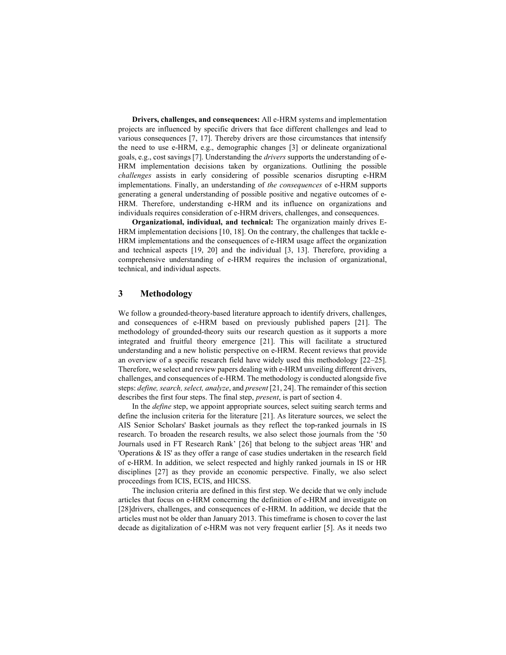Drivers, challenges, and consequences: All e-HRM systems and implementation projects are influenced by specific drivers that face different challenges and lead to various consequences [7, 17]. Thereby drivers are those circumstances that intensify the need to use e-HRM, e.g., demographic changes [3] or delineate organizational goals, e.g., cost savings [7]. Understanding the drivers supports the understanding of e-HRM implementation decisions taken by organizations. Outlining the possible challenges assists in early considering of possible scenarios disrupting e-HRM implementations. Finally, an understanding of the consequences of e-HRM supports generating a general understanding of possible positive and negative outcomes of e-HRM. Therefore, understanding e-HRM and its influence on organizations and individuals requires consideration of e-HRM drivers, challenges, and consequences.

Organizational, individual, and technical: The organization mainly drives E-HRM implementation decisions [10, 18]. On the contrary, the challenges that tackle e-HRM implementations and the consequences of e-HRM usage affect the organization and technical aspects [19, 20] and the individual [3, 13]. Therefore, providing a comprehensive understanding of e-HRM requires the inclusion of organizational, technical, and individual aspects.

# 3 Methodology

We follow a grounded-theory-based literature approach to identify drivers, challenges, and consequences of e-HRM based on previously published papers [21]. The methodology of grounded-theory suits our research question as it supports a more integrated and fruitful theory emergence [21]. This will facilitate a structured understanding and a new holistic perspective on e-HRM. Recent reviews that provide an overview of a specific research field have widely used this methodology [22–25]. Therefore, we select and review papers dealing with e-HRM unveiling different drivers, challenges, and consequences of e-HRM. The methodology is conducted alongside five steps: define, search, select, analyze, and present [21, 24]. The remainder of this section describes the first four steps. The final step, present, is part of section 4.

In the *define* step, we appoint appropriate sources, select suiting search terms and define the inclusion criteria for the literature [21]. As literature sources, we select the AIS Senior Scholars' Basket journals as they reflect the top-ranked journals in IS research. To broaden the research results, we also select those journals from the '50 Journals used in FT Research Rank' [26] that belong to the subject areas 'HR' and 'Operations & IS' as they offer a range of case studies undertaken in the research field of e-HRM. In addition, we select respected and highly ranked journals in IS or HR disciplines [27] as they provide an economic perspective. Finally, we also select proceedings from ICIS, ECIS, and HICSS.

The inclusion criteria are defined in this first step. We decide that we only include articles that focus on e-HRM concerning the definition of e-HRM and investigate on [28]drivers, challenges, and consequences of e-HRM. In addition, we decide that the articles must not be older than January 2013. This timeframe is chosen to cover the last decade as digitalization of e-HRM was not very frequent earlier [5]. As it needs two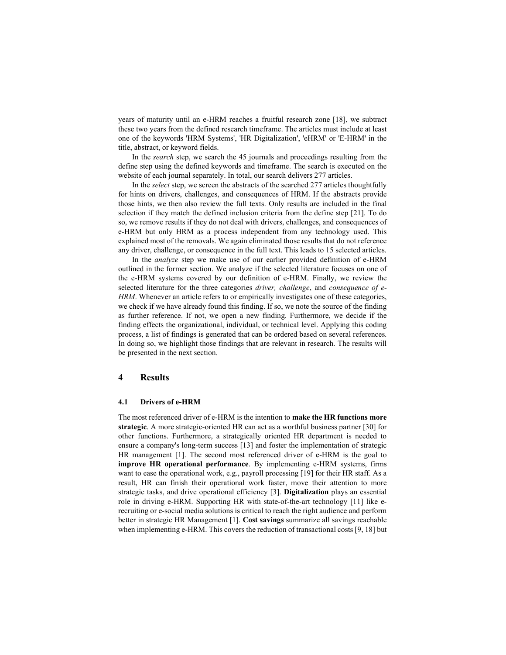years of maturity until an e-HRM reaches a fruitful research zone [18], we subtract these two years from the defined research timeframe. The articles must include at least one of the keywords 'HRM Systems', 'HR Digitalization', 'eHRM' or 'E-HRM' in the title, abstract, or keyword fields.

In the search step, we search the 45 journals and proceedings resulting from the define step using the defined keywords and timeframe. The search is executed on the website of each journal separately. In total, our search delivers 277 articles.

In the select step, we screen the abstracts of the searched 277 articles thoughtfully for hints on drivers, challenges, and consequences of HRM. If the abstracts provide those hints, we then also review the full texts. Only results are included in the final selection if they match the defined inclusion criteria from the define step [21]. To do so, we remove results if they do not deal with drivers, challenges, and consequences of e-HRM but only HRM as a process independent from any technology used. This explained most of the removals. We again eliminated those results that do not reference any driver, challenge, or consequence in the full text. This leads to 15 selected articles.

In the analyze step we make use of our earlier provided definition of e-HRM outlined in the former section. We analyze if the selected literature focuses on one of the e-HRM systems covered by our definition of e-HRM. Finally, we review the selected literature for the three categories driver, challenge, and consequence of e-HRM. Whenever an article refers to or empirically investigates one of these categories, we check if we have already found this finding. If so, we note the source of the finding as further reference. If not, we open a new finding. Furthermore, we decide if the finding effects the organizational, individual, or technical level. Applying this coding process, a list of findings is generated that can be ordered based on several references. In doing so, we highlight those findings that are relevant in research. The results will be presented in the next section.

## 4 Results

#### 4.1 Drivers of e-HRM

The most referenced driver of e-HRM is the intention to make the HR functions more strategic. A more strategic-oriented HR can act as a worthful business partner [30] for other functions. Furthermore, a strategically oriented HR department is needed to ensure a company's long-term success [13] and foster the implementation of strategic HR management [1]. The second most referenced driver of e-HRM is the goal to improve HR operational performance. By implementing e-HRM systems, firms want to ease the operational work, e.g., payroll processing [19] for their HR staff. As a result, HR can finish their operational work faster, move their attention to more strategic tasks, and drive operational efficiency [3]. Digitalization plays an essential role in driving e-HRM. Supporting HR with state-of-the-art technology [11] like erecruiting or e-social media solutions is critical to reach the right audience and perform better in strategic HR Management [1]. Cost savings summarize all savings reachable when implementing e-HRM. This covers the reduction of transactional costs [9, 18] but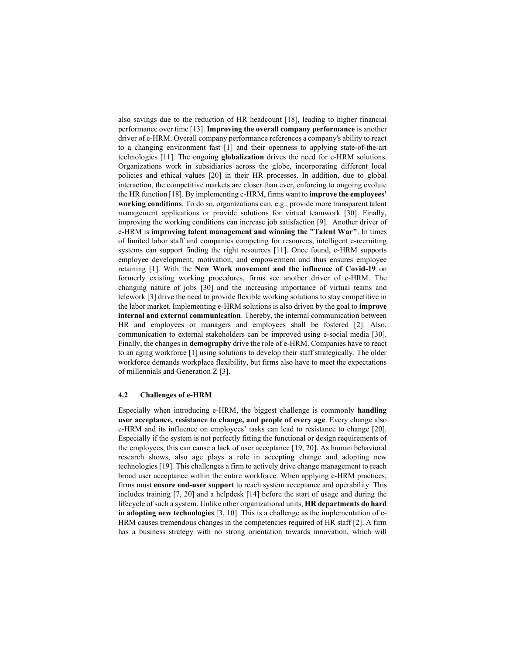also savings due to the reduction of HR headcount [18], leading to higher financial performance over time [13]. Improving the overall company performance is another driver of e-HRM. Overall company performance references a company's ability to react to a changing environment fast [1] and their openness to applying state-of-the-art technologies [11]. The ongoing globalization drives the need for e-HRM solutions. Organizations work in subsidiaries across the globe, incorporating different local policies and ethical values [20] in their HR processes. In addition, due to global interaction, the competitive markets are closer than ever, enforcing to ongoing evolute the HR function [18]. By implementing e-HRM, firms want to improve the employees' working conditions. To do so, organizations can, e.g., provide more transparent talent management applications or provide solutions for virtual teamwork [30]. Finally, improving the working conditions can increase job satisfaction [9]. Another driver of e-HRM is improving talent management and winning the "Talent War". In times of limited labor staff and companies competing for resources, intelligent e-recruiting systems can support finding the right resources [11]. Once found, e-HRM supports employee development, motivation, and empowerment and thus ensures employee retaining [1]. With the New Work movement and the influence of Covid-19 on formerly existing working procedures, firms see another driver of e-HRM. The changing nature of jobs [30] and the increasing importance of virtual teams and telework [3] drive the need to provide flexible working solutions to stay competitive in the labor market. Implementing e-HRM solutions is also driven by the goal to improve internal and external communication. Thereby, the internal communication between HR and employees or managers and employees shall be fostered [2]. Also, communication to external stakeholders can be improved using e-social media [30]. Finally, the changes in demography drive the role of e-HRM. Companies have to react to an aging workforce [1] using solutions to develop their staff strategically. The older workforce demands workplace flexibility, but firms also have to meet the expectations of millennials and Generation Z [3].

#### 4.2 Challenges of e-HRM

Especially when introducing e-HRM, the biggest challenge is commonly handling user acceptance, resistance to change, and people of every age. Every change also e-HRM and its influence on employees' tasks can lead to resistance to change [20]. Especially if the system is not perfectly fitting the functional or design requirements of the employees, this can cause a lack of user acceptance [19, 20]. As human behavioral research shows, also age plays a role in accepting change and adopting new technologies [19]. This challenges a firm to actively drive change management to reach broad user acceptance within the entire workforce. When applying e-HRM practices, firms must ensure end-user support to reach system acceptance and operability. This includes training [7, 20] and a helpdesk [14] before the start of usage and during the lifecycle of such a system. Unlike other organizational units, HR departments do hard in adopting new technologies  $[3, 10]$ . This is a challenge as the implementation of e-HRM causes tremendous changes in the competencies required of HR staff [2]. A firm has a business strategy with no strong orientation towards innovation, which will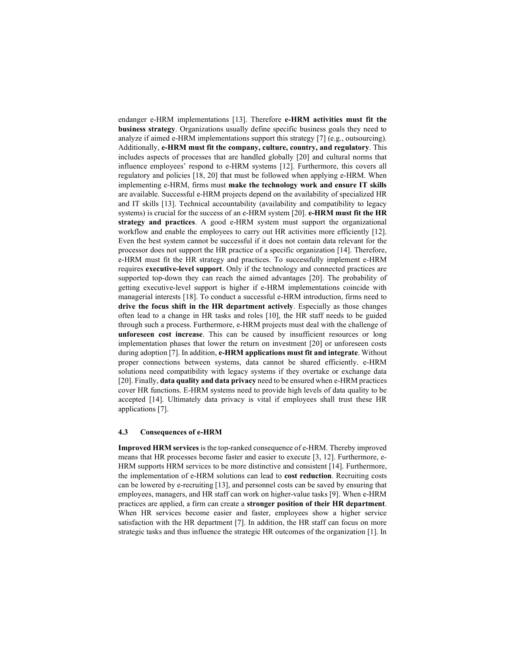endanger e-HRM implementations [13]. Therefore e-HRM activities must fit the business strategy. Organizations usually define specific business goals they need to analyze if aimed e-HRM implementations support this strategy [7] (e.g., outsourcing). Additionally, e-HRM must fit the company, culture, country, and regulatory. This includes aspects of processes that are handled globally [20] and cultural norms that influence employees' respond to e-HRM systems [12]. Furthermore, this covers all regulatory and policies [18, 20] that must be followed when applying e-HRM. When implementing e-HRM, firms must make the technology work and ensure IT skills are available. Successful e-HRM projects depend on the availability of specialized HR and IT skills [13]. Technical accountability (availability and compatibility to legacy systems) is crucial for the success of an e-HRM system [20]. e-HRM must fit the HR strategy and practices. A good e-HRM system must support the organizational workflow and enable the employees to carry out HR activities more efficiently [12]. Even the best system cannot be successful if it does not contain data relevant for the processor does not support the HR practice of a specific organization [14]. Therefore, e-HRM must fit the HR strategy and practices. To successfully implement e-HRM requires executive-level support. Only if the technology and connected practices are supported top-down they can reach the aimed advantages [20]. The probability of getting executive-level support is higher if e-HRM implementations coincide with managerial interests [18]. To conduct a successful e-HRM introduction, firms need to drive the focus shift in the HR department actively. Especially as those changes often lead to a change in HR tasks and roles [10], the HR staff needs to be guided through such a process. Furthermore, e-HRM projects must deal with the challenge of unforeseen cost increase. This can be caused by insufficient resources or long implementation phases that lower the return on investment [20] or unforeseen costs during adoption [7]. In addition, e-HRM applications must fit and integrate. Without proper connections between systems, data cannot be shared efficiently. e-HRM solutions need compatibility with legacy systems if they overtake or exchange data [20]. Finally, data quality and data privacy need to be ensured when e-HRM practices cover HR functions. E-HRM systems need to provide high levels of data quality to be accepted [14]. Ultimately data privacy is vital if employees shall trust these HR applications [7].

#### 4.3 Consequences of e-HRM

Improved HRM services is the top-ranked consequence of e-HRM. Thereby improved means that HR processes become faster and easier to execute [3, 12]. Furthermore, e-HRM supports HRM services to be more distinctive and consistent [14]. Furthermore, the implementation of e-HRM solutions can lead to cost reduction. Recruiting costs can be lowered by e-recruiting [13], and personnel costs can be saved by ensuring that employees, managers, and HR staff can work on higher-value tasks [9]. When e-HRM practices are applied, a firm can create a stronger position of their HR department. When HR services become easier and faster, employees show a higher service satisfaction with the HR department [7]. In addition, the HR staff can focus on more strategic tasks and thus influence the strategic HR outcomes of the organization [1]. In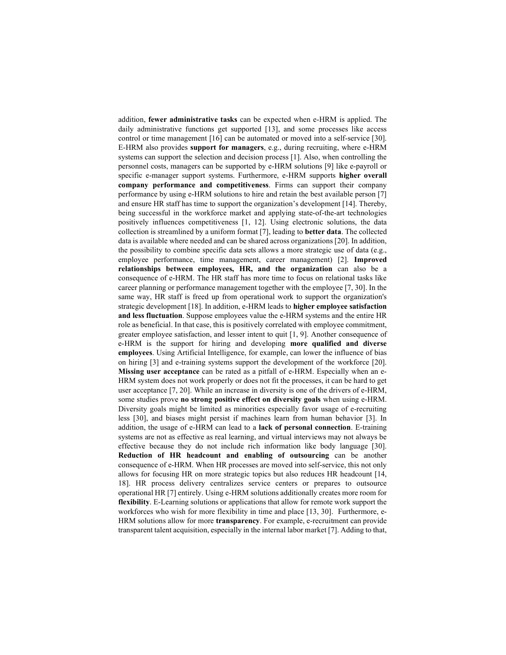addition, fewer administrative tasks can be expected when e-HRM is applied. The daily administrative functions get supported [13], and some processes like access control or time management [16] can be automated or moved into a self-service [30]. E-HRM also provides support for managers, e.g., during recruiting, where e-HRM systems can support the selection and decision process [1]. Also, when controlling the personnel costs, managers can be supported by e-HRM solutions [9] like e-payroll or specific e-manager support systems. Furthermore, e-HRM supports higher overall company performance and competitiveness. Firms can support their company performance by using e-HRM solutions to hire and retain the best available person [7] and ensure HR staff has time to support the organization's development [14]. Thereby, being successful in the workforce market and applying state-of-the-art technologies positively influences competitiveness [1, 12]. Using electronic solutions, the data collection is streamlined by a uniform format [7], leading to better data. The collected data is available where needed and can be shared across organizations [20]. In addition, the possibility to combine specific data sets allows a more strategic use of data (e.g., employee performance, time management, career management) [2]. Improved relationships between employees, HR, and the organization can also be a consequence of e-HRM. The HR staff has more time to focus on relational tasks like career planning or performance management together with the employee [7, 30]. In the same way, HR staff is freed up from operational work to support the organization's strategic development [18]. In addition, e-HRM leads to higher employee satisfaction and less fluctuation. Suppose employees value the e-HRM systems and the entire HR role as beneficial. In that case, this is positively correlated with employee commitment, greater employee satisfaction, and lesser intent to quit [1, 9]. Another consequence of e-HRM is the support for hiring and developing more qualified and diverse employees. Using Artificial Intelligence, for example, can lower the influence of bias on hiring [3] and e-training systems support the development of the workforce [20]. Missing user acceptance can be rated as a pitfall of e-HRM. Especially when an e-HRM system does not work properly or does not fit the processes, it can be hard to get user acceptance [7, 20]. While an increase in diversity is one of the drivers of e-HRM, some studies prove no strong positive effect on diversity goals when using e-HRM. Diversity goals might be limited as minorities especially favor usage of e-recruiting less [30], and biases might persist if machines learn from human behavior [3]. In addition, the usage of e-HRM can lead to a lack of personal connection. E-training systems are not as effective as real learning, and virtual interviews may not always be effective because they do not include rich information like body language [30]. Reduction of HR headcount and enabling of outsourcing can be another consequence of e-HRM. When HR processes are moved into self-service, this not only allows for focusing HR on more strategic topics but also reduces HR headcount [14, 18]. HR process delivery centralizes service centers or prepares to outsource operational HR [7] entirely. Using e-HRM solutions additionally creates more room for flexibility. E-Learning solutions or applications that allow for remote work support the workforces who wish for more flexibility in time and place [13, 30]. Furthermore, e-HRM solutions allow for more transparency. For example, e-recruitment can provide transparent talent acquisition, especially in the internal labor market [7]. Adding to that,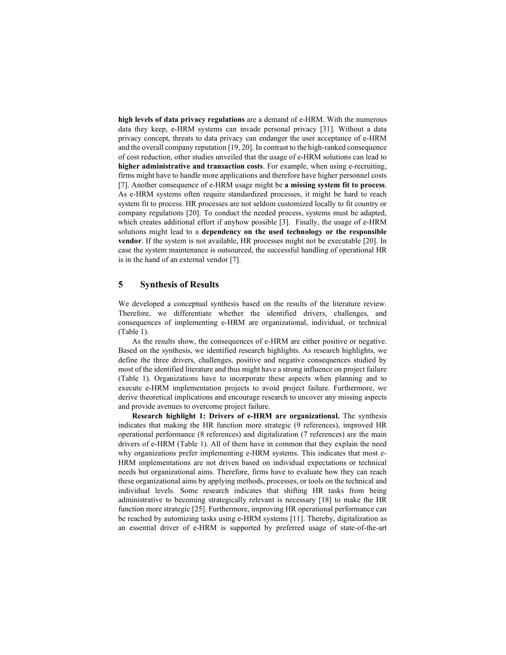high levels of data privacy regulations are a demand of e-HRM. With the numerous data they keep, e-HRM systems can invade personal privacy [31]. Without a data privacy concept, threats to data privacy can endanger the user acceptance of e-HRM and the overall company reputation [19, 20]. In contrast to the high-ranked consequence of cost reduction, other studies unveiled that the usage of e-HRM solutions can lead to higher administrative and transaction costs. For example, when using e-recruiting, firms might have to handle more applications and therefore have higher personnel costs [7]. Another consequence of e-HRM usage might be a missing system fit to process. As e-HRM systems often require standardized processes, it might be hard to reach system fit to process. HR processes are not seldom customized locally to fit country or company regulations [20]. To conduct the needed process, systems must be adapted, which creates additional effort if anyhow possible [3]. Finally, the usage of e-HRM solutions might lead to a dependency on the used technology or the responsible vendor. If the system is not available, HR processes might not be executable [20]. In case the system maintenance is outsourced, the successful handling of operational HR is in the hand of an external vendor [7].

# 5 Synthesis of Results

We developed a conceptual synthesis based on the results of the literature review. Therefore, we differentiate whether the identified drivers, challenges, and consequences of implementing e-HRM are organizational, individual, or technical (Table 1).

As the results show, the consequences of e-HRM are either positive or negative. Based on the synthesis, we identified research highlights. As research highlights, we define the three drivers, challenges, positive and negative consequences studied by most of the identified literature and thus might have a strong influence on project failure (Table 1). Organizations have to incorporate these aspects when planning and to execute e-HRM implementation projects to avoid project failure. Furthermore, we derive theoretical implications and encourage research to uncover any missing aspects and provide avenues to overcome project failure.

Research highlight 1: Drivers of e-HRM are organizational. The synthesis indicates that making the HR function more strategic (9 references), improved HR operational performance (8 references) and digitalization (7 references) are the main drivers of e-HRM (Table 1). All of them have in common that they explain the need why organizations prefer implementing e-HRM systems. This indicates that most e-HRM implementations are not driven based on individual expectations or technical needs but organizational aims. Therefore, firms have to evaluate how they can reach these organizational aims by applying methods, processes, or tools on the technical and individual levels. Some research indicates that shifting HR tasks from being administrative to becoming strategically relevant is necessary [18] to make the HR function more strategic [25]. Furthermore, improving HR operational performance can be reached by automizing tasks using e-HRM systems [11]. Thereby, digitalization as an essential driver of e-HRM is supported by preferred usage of state-of-the-art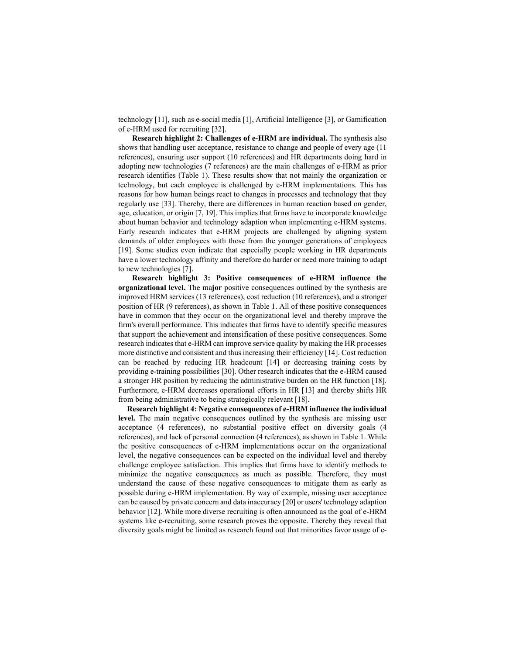technology [11], such as e-social media [1], Artificial Intelligence [3], or Gamification of e-HRM used for recruiting [32].

Research highlight 2: Challenges of e-HRM are individual. The synthesis also shows that handling user acceptance, resistance to change and people of every age (11 references), ensuring user support (10 references) and HR departments doing hard in adopting new technologies (7 references) are the main challenges of e-HRM as prior research identifies (Table 1). These results show that not mainly the organization or technology, but each employee is challenged by e-HRM implementations. This has reasons for how human beings react to changes in processes and technology that they regularly use [33]. Thereby, there are differences in human reaction based on gender, age, education, or origin [7, 19]. This implies that firms have to incorporate knowledge about human behavior and technology adaption when implementing e-HRM systems. Early research indicates that e-HRM projects are challenged by aligning system demands of older employees with those from the younger generations of employees [19]. Some studies even indicate that especially people working in HR departments have a lower technology affinity and therefore do harder or need more training to adapt to new technologies [7].

Research highlight 3: Positive consequences of e-HRM influence the organizational level. The major positive consequences outlined by the synthesis are improved HRM services (13 references), cost reduction (10 references), and a stronger position of HR (9 references), as shown in Table 1. All of these positive consequences have in common that they occur on the organizational level and thereby improve the firm's overall performance. This indicates that firms have to identify specific measures that support the achievement and intensification of these positive consequences. Some research indicates that e-HRM can improve service quality by making the HR processes more distinctive and consistent and thus increasing their efficiency [14]. Cost reduction can be reached by reducing HR headcount [14] or decreasing training costs by providing e-training possibilities [30]. Other research indicates that the e-HRM caused a stronger HR position by reducing the administrative burden on the HR function [18]. Furthermore, e-HRM decreases operational efforts in HR [13] and thereby shifts HR from being administrative to being strategically relevant [18].

Research highlight 4: Negative consequences of e-HRM influence the individual level. The main negative consequences outlined by the synthesis are missing user acceptance (4 references), no substantial positive effect on diversity goals (4 references), and lack of personal connection (4 references), as shown in Table 1. While the positive consequences of e-HRM implementations occur on the organizational level, the negative consequences can be expected on the individual level and thereby challenge employee satisfaction. This implies that firms have to identify methods to minimize the negative consequences as much as possible. Therefore, they must understand the cause of these negative consequences to mitigate them as early as possible during e-HRM implementation. By way of example, missing user acceptance can be caused by private concern and data inaccuracy [20] or users' technology adaption behavior [12]. While more diverse recruiting is often announced as the goal of e-HRM systems like e-recruiting, some research proves the opposite. Thereby they reveal that diversity goals might be limited as research found out that minorities favor usage of e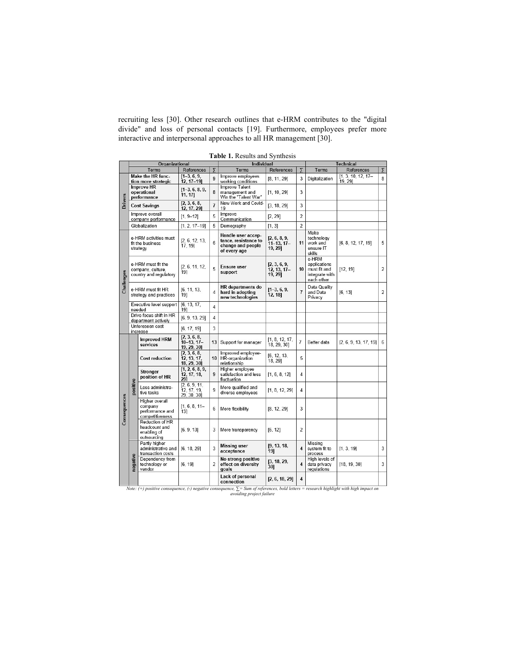recruiting less [30]. Other research outlines that e-HRM contributes to the "digital divide" and loss of personal contacts [19]. Furthermore, employees prefer more interactive and interpersonal approaches to all HR management [30].

|                | Organizational                                                    |                                                                 |                                             |                 | Individual                                                                      |                                           |                         | <b>Technical</b>                                                      |                                 |                |
|----------------|-------------------------------------------------------------------|-----------------------------------------------------------------|---------------------------------------------|-----------------|---------------------------------------------------------------------------------|-------------------------------------------|-------------------------|-----------------------------------------------------------------------|---------------------------------|----------------|
|                |                                                                   | Terms                                                           | References                                  | $\overline{2}$  | Terms                                                                           | References                                | 7                       | Terms                                                                 | References                      | $\overline{5}$ |
| <b>Orivers</b> | Make the HR func-<br>tion more strategic                          |                                                                 | $[1-3, 6, 9,$<br>$12, 17-19$                | $\mathbf{q}$    | Improve employees<br>working conditions                                         | [8, 11, 29]                               | 3                       | Digitalization                                                        | $[1, 3, 10, 12, 17-$<br>19, 29] | 8              |
|                | <b>Improve HR</b><br>operational<br>performance                   |                                                                 | $[1-3, 6, 8, 9,$<br>11, 17]                 | 8               | <b>Improve Talent</b><br>management and<br>Win the "Talent War"                 | [1, 10, 29]                               | 3                       |                                                                       |                                 |                |
|                | <b>Cost Savings</b>                                               |                                                                 | [2, 3, 6, 8,<br>12, 17, 29]                 | $\overline{7}$  | New Work and Covid-<br>19                                                       | [3, 18, 29]                               | 3                       |                                                                       |                                 |                |
|                | Improve overall<br>company performance                            |                                                                 | $[1, 9-12]$                                 | 5               | Improve<br>Communication                                                        | [2, 29]                                   | $\overline{2}$          |                                                                       |                                 |                |
|                | Globalization                                                     |                                                                 | $[1, 2, 17-19]$                             | 5               | Demography                                                                      | [1, 3]                                    | $\overline{2}$          |                                                                       |                                 |                |
| Challenges     | e-HRM activities must<br>fit the business<br>strategy             |                                                                 | [2, 6, 12, 13,<br>17, 19]                   | 6               | Handle user accep-<br>tance, resistance to<br>change and people<br>of every age | [2, 6, 8, 9,<br>$11 - 13.17 -$<br>19, 29] | 11                      | Make<br>technology<br>work and<br>ensure IT<br>skills                 | [6, 8, 12, 17, 19]              | 5              |
|                | e-HRM must fit the<br>company, culture.<br>country and regulatory |                                                                 | [2, 6, 11, 12,<br>19]                       | 5               | <b>Ensure user</b><br>support                                                   | [2, 3, 6, 9,<br>$12.13.17-$<br>19, 29]    | 10                      | e-HRM<br>applications<br>must fit and<br>integrate with<br>each other | [12, 19]                        | 2              |
|                | e-HRM must fit HR<br>strategy and practices                       |                                                                 | [6, 11, 13]<br>19]                          | $\Delta$        | <b>HR</b> departments do<br>hard in adopting<br>new technologies                | $[1-3, 6, 9,$<br>12, 18]                  | $\overline{1}$          | Data Quality<br>and Data<br>Privacy                                   | [6, 13]                         | $\overline{2}$ |
|                | Executive level support<br>needed                                 |                                                                 | [6, 13, 17,<br>19]                          | $\overline{4}$  |                                                                                 |                                           |                         |                                                                       |                                 |                |
|                | Drive focus shift in HR<br>department actively                    |                                                                 | [6, 9, 13, 29]                              | $\overline{4}$  |                                                                                 |                                           |                         |                                                                       |                                 |                |
|                | Unforeseen cost<br>increase                                       |                                                                 | [6, 17, 19]                                 | 3               |                                                                                 |                                           |                         |                                                                       |                                 |                |
| Consequences   | positive                                                          | <b>Improved HRM</b><br>services                                 | [2, 3, 6, 8,<br>$10-13, 17-$<br>19, 29, 30] | 13              | Support for manager                                                             | [1, 8, 12, 17,<br>18, 29, 30]             | $\overline{7}$          | Better data                                                           | [2, 6, 9, 13, 17, 19]           | 6              |
|                |                                                                   | <b>Cost reduction</b>                                           | [2, 3, 6, 8,<br>12, 13, 17,<br>18, 29, 30]  | 10 <sup>1</sup> | Improved employee-<br>HR-organization<br>relationship                           | [6, 12, 13,<br>18, 29]                    | 5                       |                                                                       |                                 |                |
|                |                                                                   | <b>Stronger</b><br>position of HR                               | [1, 2, 6, 8, 9,<br>12, 17, 18,<br>291       | 9               | Higher employee<br>satisfaction and less<br>fluctuation                         | [1, 6, 8, 12]                             | 4                       |                                                                       |                                 |                |
|                |                                                                   | Less administra-<br>tive tasks                                  | [2, 6, 9, 11]<br>12, 17, 19,<br>29, 30, 30] | 9               | More qualified and<br>diverse employees                                         | [1, 8, 12, 29]                            | 4                       |                                                                       |                                 |                |
|                |                                                                   | Higher overall<br>company<br>performance and<br>competitiveness | $[1, 6, 8, 11-$<br>131                      | 6               | More flexibility                                                                | [8, 12, 29]                               | 3                       |                                                                       |                                 |                |
|                |                                                                   | Reduction of HR<br>headcount and<br>enabling of<br>outsourcing  | [6, 9, 13]                                  | 3               | More transparency                                                               | [6, 12]                                   | $\overline{2}$          |                                                                       |                                 |                |
|                | negative                                                          | Partly higher<br>administrative and<br>transaction costs        | [6, 18, 29]                                 | 3               | <b>Missing user</b><br>acceptance                                               | [9, 13, 18,<br>19]                        | $\overline{\mathbf{4}}$ | Missina<br>system fit to<br>process                                   | [1, 3, 19]                      | 3              |
|                |                                                                   | Dependency from<br>technology or<br>vendor                      | [6, 19]                                     | $\overline{2}$  | No strong positive<br>effect on diversity<br>goals                              | [3, 18, 29,<br>301                        | $\overline{\mathbf{4}}$ | High levels of<br>data privacy<br>regulations                         | [18, 19, 30]                    | 3              |
|                |                                                                   |                                                                 |                                             |                 | Lack of personal<br>connection                                                  | [2, 6, 18, 29]                            | $\overline{\mathbf{4}}$ |                                                                       |                                 |                |

Table 1. Results and Synthesis

Note: (+) positive consequence, (-) negative consequence, ∑= Sum of references, bold letters = research highlight with high impact on<br>avoiding project failure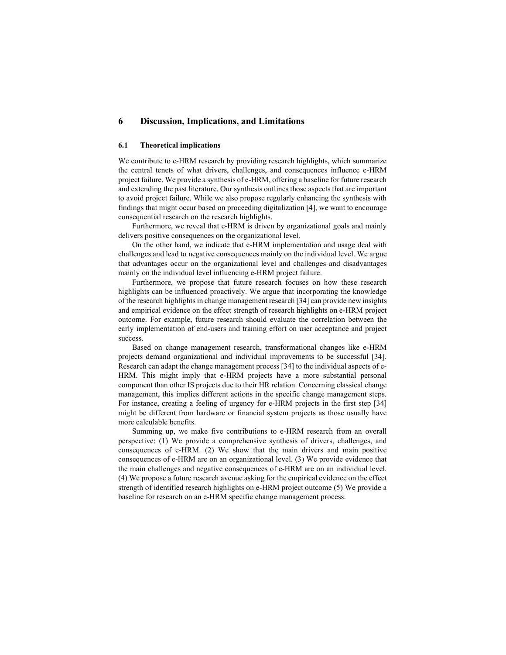# 6 Discussion, Implications, and Limitations

## 6.1 Theoretical implications

We contribute to e-HRM research by providing research highlights, which summarize the central tenets of what drivers, challenges, and consequences influence e-HRM project failure. We provide a synthesis of e-HRM, offering a baseline for future research and extending the past literature. Our synthesis outlines those aspects that are important to avoid project failure. While we also propose regularly enhancing the synthesis with findings that might occur based on proceeding digitalization [4], we want to encourage consequential research on the research highlights.

Furthermore, we reveal that e-HRM is driven by organizational goals and mainly delivers positive consequences on the organizational level.

On the other hand, we indicate that e-HRM implementation and usage deal with challenges and lead to negative consequences mainly on the individual level. We argue that advantages occur on the organizational level and challenges and disadvantages mainly on the individual level influencing e-HRM project failure.

Furthermore, we propose that future research focuses on how these research highlights can be influenced proactively. We argue that incorporating the knowledge of the research highlights in change management research [34] can provide new insights and empirical evidence on the effect strength of research highlights on e-HRM project outcome. For example, future research should evaluate the correlation between the early implementation of end-users and training effort on user acceptance and project success.

Based on change management research, transformational changes like e-HRM projects demand organizational and individual improvements to be successful [34]. Research can adapt the change management process [34] to the individual aspects of e-HRM. This might imply that e-HRM projects have a more substantial personal component than other IS projects due to their HR relation. Concerning classical change management, this implies different actions in the specific change management steps. For instance, creating a feeling of urgency for e-HRM projects in the first step [34] might be different from hardware or financial system projects as those usually have more calculable benefits.

Summing up, we make five contributions to e-HRM research from an overall perspective: (1) We provide a comprehensive synthesis of drivers, challenges, and consequences of e-HRM. (2) We show that the main drivers and main positive consequences of e-HRM are on an organizational level. (3) We provide evidence that the main challenges and negative consequences of e-HRM are on an individual level. (4) We propose a future research avenue asking for the empirical evidence on the effect strength of identified research highlights on e-HRM project outcome (5) We provide a baseline for research on an e-HRM specific change management process.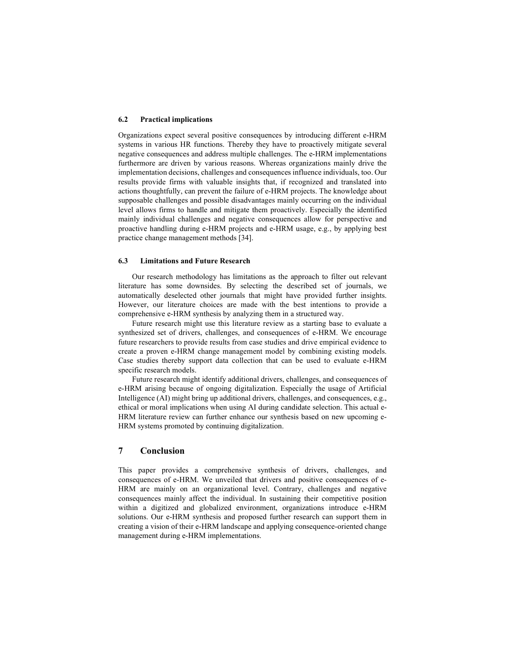#### 6.2 Practical implications

Organizations expect several positive consequences by introducing different e-HRM systems in various HR functions. Thereby they have to proactively mitigate several negative consequences and address multiple challenges. The e-HRM implementations furthermore are driven by various reasons. Whereas organizations mainly drive the implementation decisions, challenges and consequences influence individuals, too. Our results provide firms with valuable insights that, if recognized and translated into actions thoughtfully, can prevent the failure of e-HRM projects. The knowledge about supposable challenges and possible disadvantages mainly occurring on the individual level allows firms to handle and mitigate them proactively. Especially the identified mainly individual challenges and negative consequences allow for perspective and proactive handling during e-HRM projects and e-HRM usage, e.g., by applying best practice change management methods [34].

#### 6.3 Limitations and Future Research

Our research methodology has limitations as the approach to filter out relevant literature has some downsides. By selecting the described set of journals, we automatically deselected other journals that might have provided further insights. However, our literature choices are made with the best intentions to provide a comprehensive e-HRM synthesis by analyzing them in a structured way.

Future research might use this literature review as a starting base to evaluate a synthesized set of drivers, challenges, and consequences of e-HRM. We encourage future researchers to provide results from case studies and drive empirical evidence to create a proven e-HRM change management model by combining existing models. Case studies thereby support data collection that can be used to evaluate e-HRM specific research models.

Future research might identify additional drivers, challenges, and consequences of e-HRM arising because of ongoing digitalization. Especially the usage of Artificial Intelligence (AI) might bring up additional drivers, challenges, and consequences, e.g., ethical or moral implications when using AI during candidate selection. This actual e-HRM literature review can further enhance our synthesis based on new upcoming e-HRM systems promoted by continuing digitalization.

# 7 Conclusion

This paper provides a comprehensive synthesis of drivers, challenges, and consequences of e-HRM. We unveiled that drivers and positive consequences of e-HRM are mainly on an organizational level. Contrary, challenges and negative consequences mainly affect the individual. In sustaining their competitive position within a digitized and globalized environment, organizations introduce e-HRM solutions. Our e-HRM synthesis and proposed further research can support them in creating a vision of their e-HRM landscape and applying consequence-oriented change management during e-HRM implementations.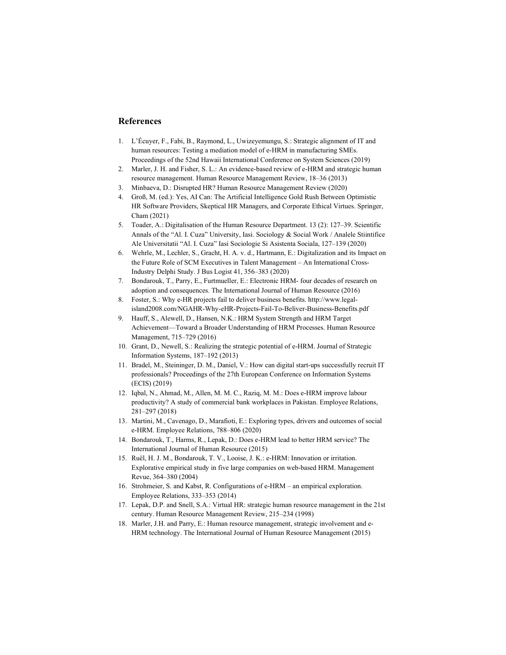# References

- 1. L'Écuyer, F., Fabi, B., Raymond, L., Uwizeyemungu, S.: Strategic alignment of IT and human resources: Testing a mediation model of e-HRM in manufacturing SMEs. Proceedings of the 52nd Hawaii International Conference on System Sciences (2019)
- 2. Marler, J. H. and Fisher, S. L.: An evidence-based review of e-HRM and strategic human resource management. Human Resource Management Review, 18–36 (2013)
- 3. Minbaeva, D.: Disrupted HR? Human Resource Management Review (2020)
- 4. Groß, M. (ed.): Yes, AI Can: The Artificial Intelligence Gold Rush Between Optimistic HR Software Providers, Skeptical HR Managers, and Corporate Ethical Virtues. Springer, Cham (2021)
- 5. Toader, A.: Digitalisation of the Human Resource Department. 13 (2): 127–39. Scientific Annals of the "Al. I. Cuza" University, Iasi. Sociology & Social Work / Analele Stiintifice Ale Universitatii "Al. I. Cuza" Iasi Sociologie Si Asistenta Sociala, 127–139 (2020)
- 6. Wehrle, M., Lechler, S., Gracht, H. A. v. d., Hartmann, E.: Digitalization and its Impact on the Future Role of SCM Executives in Talent Management - An International Cross-Industry Delphi Study. J Bus Logist 41, 356–383 (2020)
- 7. Bondarouk, T., Parry, E., Furtmueller, E.: Electronic HRM- four decades of research on adoption and consequences. The International Journal of Human Resource (2016)
- 8. Foster, S.: Why e-HR projects fail to deliver business benefits. http://www.legalisland2008.com/NGAHR-Why-eHR-Projects-Fail-To-Beliver-Business-Benefits.pdf
- 9. Hauff, S., Alewell, D., Hansen, N.K.: HRM System Strength and HRM Target Achievement—Toward a Broader Understanding of HRM Processes. Human Resource Management, 715–729 (2016)
- 10. Grant, D., Newell, S.: Realizing the strategic potential of e-HRM. Journal of Strategic Information Systems, 187–192 (2013)
- 11. Bradel, M., Steininger, D. M., Daniel, V.: How can digital start-ups successfully recruit IT professionals? Proceedings of the 27th European Conference on Information Systems (ECIS) (2019)
- 12. Iqbal, N., Ahmad, M., Allen, M. M. C., Raziq, M. M.: Does e-HRM improve labour productivity? A study of commercial bank workplaces in Pakistan. Employee Relations, 281–297 (2018)
- 13. Martini, M., Cavenago, D., Marafioti, E.: Exploring types, drivers and outcomes of social e-HRM. Employee Relations, 788–806 (2020)
- 14. Bondarouk, T., Harms, R., Lepak, D.: Does e-HRM lead to better HRM service? The International Journal of Human Resource (2015)
- 15. Ruël, H. J. M., Bondarouk, T. V., Looise, J. K.: e-HRM: Innovation or irritation. Explorative empirical study in five large companies on web-based HRM. Management Revue, 364–380 (2004)
- 16. Strohmeier, S. and Kabst, R. Configurations of e-HRM an empirical exploration. Employee Relations, 333–353 (2014)
- 17. Lepak, D.P. and Snell, S.A.: Virtual HR: strategic human resource management in the 21st century. Human Resource Management Review, 215–234 (1998)
- 18. Marler, J.H. and Parry, E.: Human resource management, strategic involvement and e-HRM technology. The International Journal of Human Resource Management (2015)